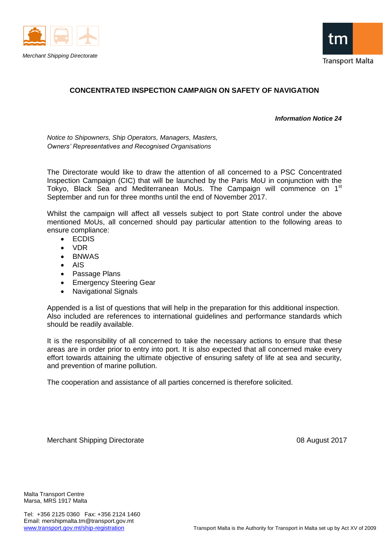



# **CONCENTRATED INSPECTION CAMPAIGN ON SAFETY OF NAVIGATION**

#### *Information Notice 24*

*Notice to Shipowners, Ship Operators, Managers, Masters, Owners' Representatives and Recognised Organisations*

The Directorate would like to draw the attention of all concerned to a PSC Concentrated Inspection Campaign (CIC) that will be launched by the Paris MoU in conjunction with the Tokyo, Black Sea and Mediterranean MoUs. The Campaign will commence on 1<sup>st</sup> September and run for three months until the end of November 2017.

Whilst the campaign will affect all vessels subject to port State control under the above mentioned MoUs, all concerned should pay particular attention to the following areas to ensure compliance:

- ECDIS
- **VDR**
- BNWAS
- AIS
- Passage Plans
- Emergency Steering Gear
- Navigational Signals

Appended is a list of questions that will help in the preparation for this additional inspection. Also included are references to international guidelines and performance standards which should be readily available.

It is the responsibility of all concerned to take the necessary actions to ensure that these areas are in order prior to entry into port. It is also expected that all concerned make every effort towards attaining the ultimate objective of ensuring safety of life at sea and security, and prevention of marine pollution.

The cooperation and assistance of all parties concerned is therefore solicited.

Merchant Shipping Directorate 08 August 2017

Malta Transport Centre Marsa, MRS 1917 Malta

Tel: +356 2125 0360 Fax: +356 2124 1460 Email: mershipmalta.tm@transport.gov.mt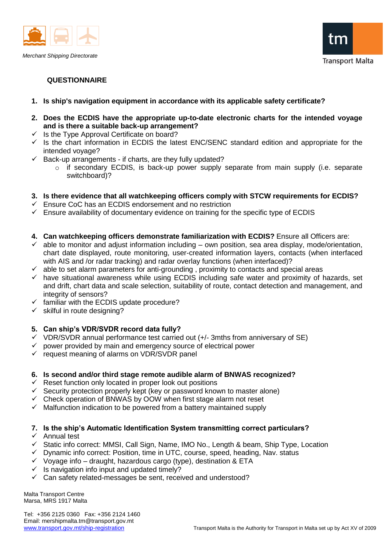



## **QUESTIONNAIRE**

- **1. Is ship's navigation equipment in accordance with its applicable safety certificate?**
- **2. Does the ECDIS have the appropriate up-to-date electronic charts for the intended voyage and is there a suitable back-up arrangement?**
- $\checkmark$  Is the Type Approval Certificate on board?
- $\checkmark$  Is the chart information in ECDIS the latest ENC/SENC standard edition and appropriate for the intended voyage?
- $\checkmark$  Back-up arrangements if charts, are they fully updated?
	- o if secondary ECDIS, is back-up power supply separate from main supply (i.e. separate switchboard)?

## **3. Is there evidence that all watchkeeping officers comply with STCW requirements for ECDIS?**

- $\checkmark$  Ensure CoC has an ECDIS endorsement and no restriction
- $\checkmark$  Ensure availability of documentary evidence on training for the specific type of ECDIS

## **4. Can watchkeeping officers demonstrate familiarization with ECDIS?** Ensure all Officers are:

- $\checkmark$  able to monitor and adjust information including own position, sea area display, mode/orientation, chart date displayed, route monitoring, user-created information layers, contacts (when interfaced with AIS and /or radar tracking) and radar overlay functions (when interfaced)?
- $\checkmark$  able to set alarm parameters for anti-grounding, proximity to contacts and special areas
- have situational awareness while using ECDIS including safe water and proximity of hazards, set and drift, chart data and scale selection, suitability of route, contact detection and management, and integrity of sensors?
- $\checkmark$  familiar with the ECDIS update procedure?
- $\checkmark$  skilful in route designing?

## **5. Can ship's VDR/SVDR record data fully?**

- $\checkmark$  VDR/SVDR annual performance test carried out (+/- 3mths from anniversary of SE)
- $\checkmark$  power provided by main and emergency source of electrical power
- $\checkmark$  request meaning of alarms on VDR/SVDR panel

## **6. Is second and/or third stage remote audible alarm of BNWAS recognized?**

- $\checkmark$  Reset function only located in proper look out positions
- $\checkmark$  Security protection properly kept (key or password known to master alone)
- Check operation of BNWAS by OOW when first stage alarm not reset
- $\checkmark$  Malfunction indication to be powered from a battery maintained supply

## **7. Is the ship's Automatic Identification System transmitting correct particulars?**

#### $\checkmark$  Annual test

- $\checkmark$  Static info correct: MMSI, Call Sign, Name, IMO No., Length & beam, Ship Type, Location
- $\checkmark$  Dynamic info correct: Position, time in UTC, course, speed, heading, Nav. status
- $\checkmark$  Voyage info draught, hazardous cargo (type), destination & ETA
- $\checkmark$  Is navigation info input and updated timely?
- $\checkmark$  Can safety related-messages be sent, received and understood?

Malta Transport Centre Marsa, MRS 1917 Malta

Tel: +356 2125 0360 Fax: +356 2124 1460 Email: mershipmalta.tm@transport.gov.mt